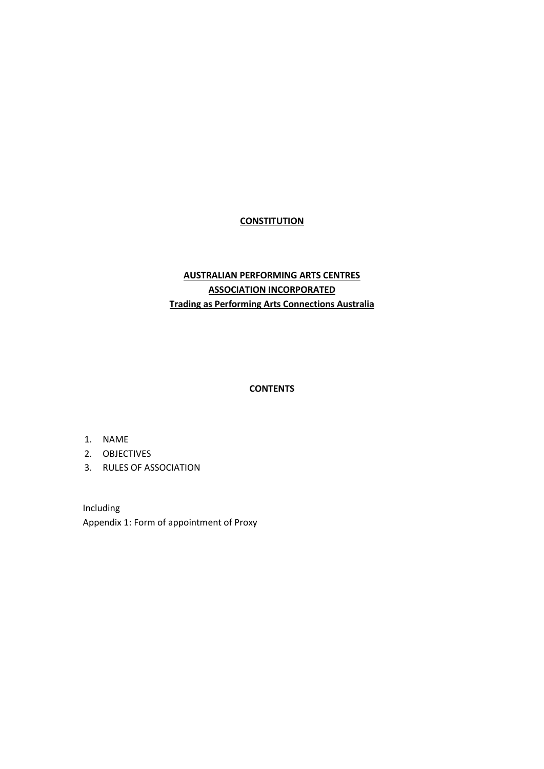## **CONSTITUTION**

# **AUSTRALIAN PERFORMING ARTS CENTRES ASSOCIATION INCORPORATED Trading as Performing Arts Connections Australia**

### **CONTENTS**

- 1. [NAME](#page-1-0)
- 2. [OBJECTIVES](#page-1-1)
- 3. [RULES OF ASSOCIATION](#page-2-0)

Including Appendix 1: Form of appointment of Proxy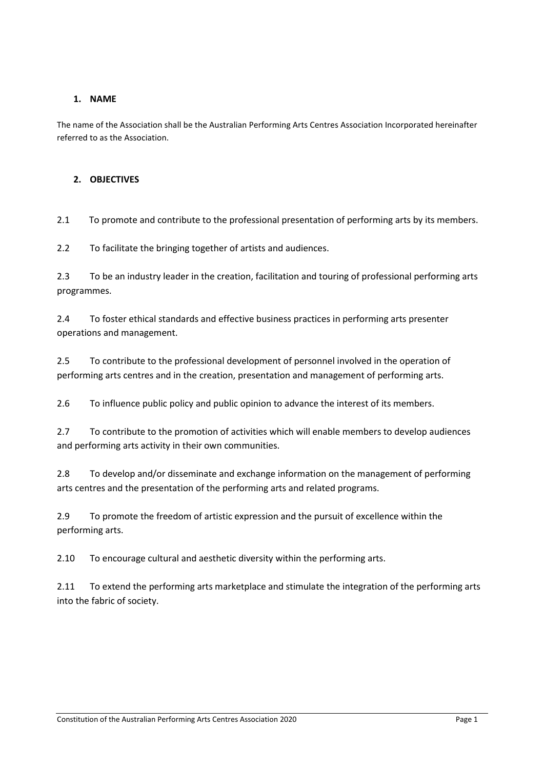### <span id="page-1-0"></span>**1. NAME**

The name of the Association shall be the Australian Performing Arts Centres Association Incorporated hereinafter referred to as the Association.

#### <span id="page-1-1"></span>**2. OBJECTIVES**

2.1 To promote and contribute to the professional presentation of performing arts by its members.

2.2 To facilitate the bringing together of artists and audiences.

2.3 To be an industry leader in the creation, facilitation and touring of professional performing arts programmes.

2.4 To foster ethical standards and effective business practices in performing arts presenter operations and management.

2.5 To contribute to the professional development of personnel involved in the operation of performing arts centres and in the creation, presentation and management of performing arts.

2.6 To influence public policy and public opinion to advance the interest of its members.

2.7 To contribute to the promotion of activities which will enable members to develop audiences and performing arts activity in their own communities.

2.8 To develop and/or disseminate and exchange information on the management of performing arts centres and the presentation of the performing arts and related programs.

2.9 To promote the freedom of artistic expression and the pursuit of excellence within the performing arts.

2.10 To encourage cultural and aesthetic diversity within the performing arts.

2.11 To extend the performing arts marketplace and stimulate the integration of the performing arts into the fabric of society.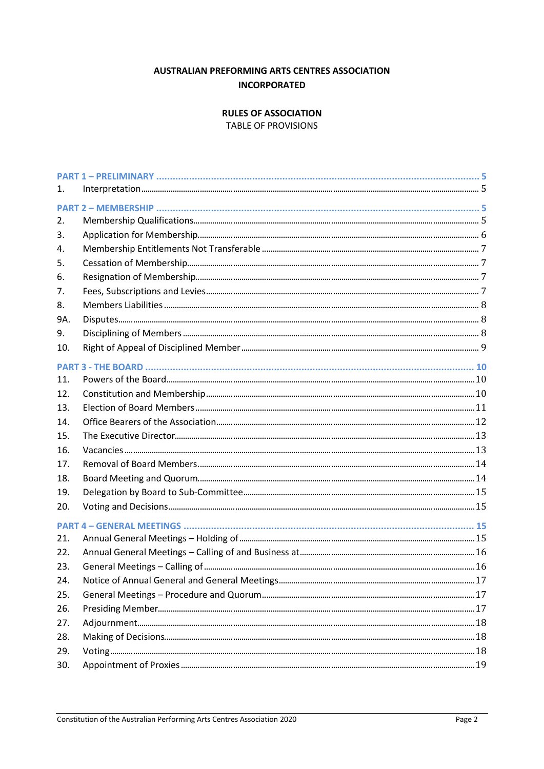# **AUSTRALIAN PREFORMING ARTS CENTRES ASSOCIATION INCORPORATED**

### **RULES OF ASSOCIATION**

**TABLE OF PROVISIONS** 

<span id="page-2-0"></span>

| 1.         |  |
|------------|--|
|            |  |
| 2.         |  |
| 3.         |  |
| 4.         |  |
| 5.         |  |
| 6.         |  |
| 7.         |  |
| 8.         |  |
| 9A.        |  |
| 9.         |  |
| 10.        |  |
|            |  |
| 11.        |  |
| 12.        |  |
| 13.        |  |
| 14.        |  |
| 15.        |  |
| 16.        |  |
| 17.        |  |
| 18.        |  |
| 19.        |  |
| 20.        |  |
|            |  |
| 21.        |  |
| 22.        |  |
| 23.        |  |
| 24.        |  |
| 25.        |  |
| 26.        |  |
|            |  |
| 27.<br>28. |  |
| 29.        |  |
| 30.        |  |
|            |  |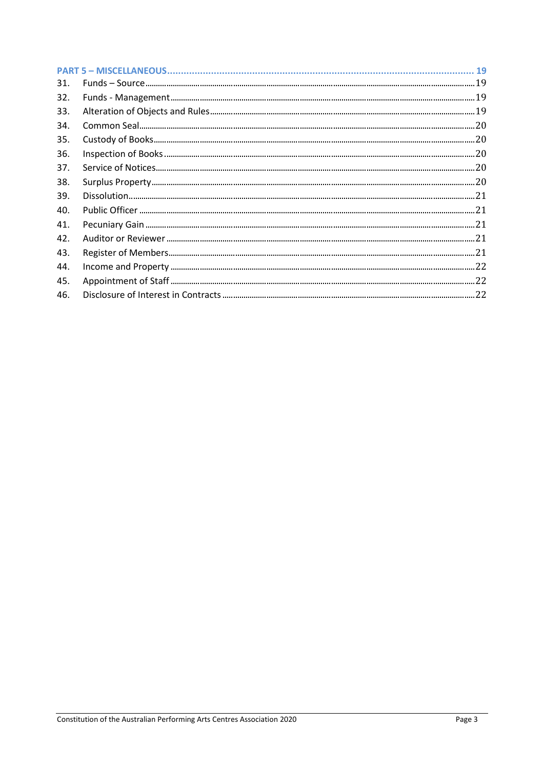| 31. |                                                                                                 |  |
|-----|-------------------------------------------------------------------------------------------------|--|
| 32. |                                                                                                 |  |
| 33. |                                                                                                 |  |
| 34. |                                                                                                 |  |
| 35. |                                                                                                 |  |
| 36. | ${\small\textsf{Inspection of Books}\xspace} \label{ex:3} \textsf{Inspection of Books}\xspace}$ |  |
| 37. |                                                                                                 |  |
| 38. |                                                                                                 |  |
| 39. |                                                                                                 |  |
| 40. |                                                                                                 |  |
| 41. |                                                                                                 |  |
| 42. |                                                                                                 |  |
| 43. |                                                                                                 |  |
| 44. |                                                                                                 |  |
| 45. |                                                                                                 |  |
| 46. |                                                                                                 |  |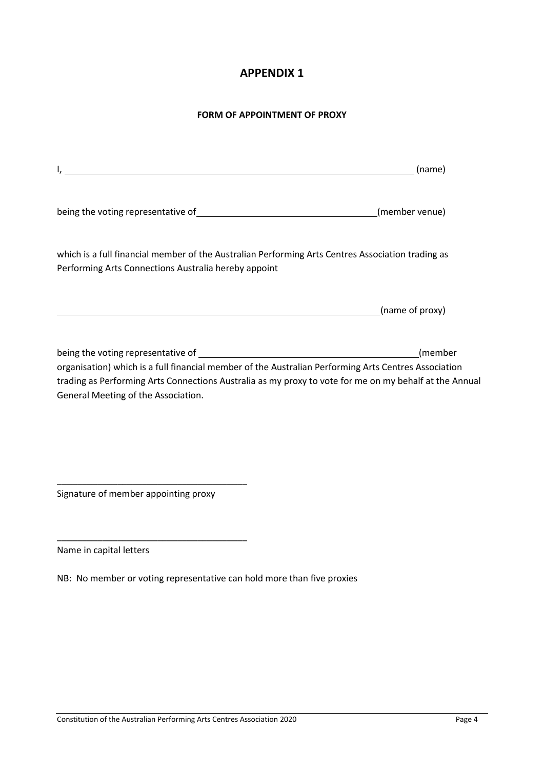# **APPENDIX 1**

### **FORM OF APPOINTMENT OF PROXY**

| <u> 1989 - Johann John Stoff, deutscher Stoff und der Stoff und der Stoff und der Stoff und der Stoff und der Sto</u>                                                                                                                                 | (name)          |
|-------------------------------------------------------------------------------------------------------------------------------------------------------------------------------------------------------------------------------------------------------|-----------------|
|                                                                                                                                                                                                                                                       | (member venue)  |
| which is a full financial member of the Australian Performing Arts Centres Association trading as<br>Performing Arts Connections Australia hereby appoint                                                                                             |                 |
|                                                                                                                                                                                                                                                       | (name of proxy) |
| organisation) which is a full financial member of the Australian Performing Arts Centres Association<br>trading as Performing Arts Connections Australia as my proxy to vote for me on my behalf at the Annual<br>General Meeting of the Association. | (member         |

Signature of member appointing proxy

\_\_\_\_\_\_\_\_\_\_\_\_\_\_\_\_\_\_\_\_\_\_\_\_\_\_\_\_\_\_\_\_\_\_\_\_\_\_

\_\_\_\_\_\_\_\_\_\_\_\_\_\_\_\_\_\_\_\_\_\_\_\_\_\_\_\_\_\_\_\_\_\_\_\_\_\_

Name in capital letters

NB: No member or voting representative can hold more than five proxies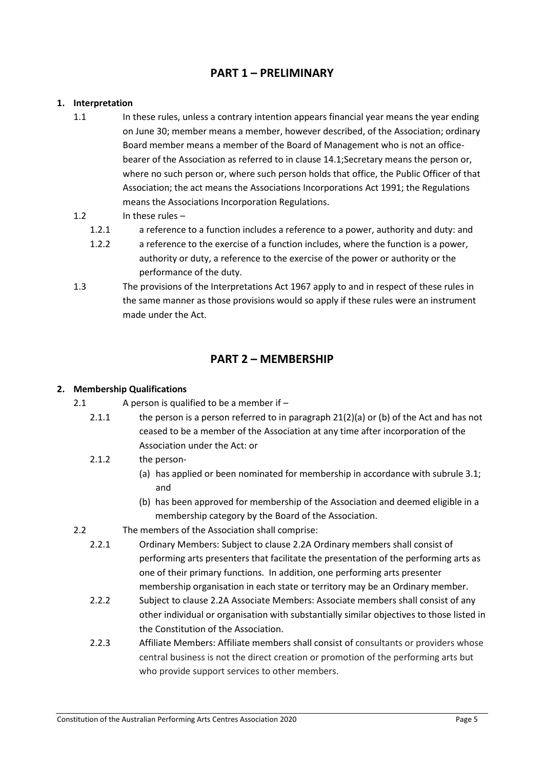# <span id="page-5-0"></span>**PART 1 – PRELIMINARY**

#### <span id="page-5-1"></span>**1. Interpretation**

1.1 In these rules, unless a contrary intention appears financial year means the year ending on June 30; member means a member, however described, of the Association; ordinary Board member means a member of the Board of Management who is not an officebearer of the Association as referred to in clause 14.1;Secretary means the person or, where no such person or, where such person holds that office, the Public Officer of that Association; the act means the Associations Incorporations Act 1991; the Regulations means the Associations Incorporation Regulations.

#### 1.2 In these rules –

- 1.2.1 a reference to a function includes a reference to a power, authority and duty: and
- 1.2.2 a reference to the exercise of a function includes, where the function is a power, authority or duty, a reference to the exercise of the power or authority or the performance of the duty.
- 1.3 The provisions of the Interpretations Act 1967 apply to and in respect of these rules in the same manner as those provisions would so apply if these rules were an instrument made under the Act.

# **PART 2 – MEMBERSHIP**

#### <span id="page-5-3"></span><span id="page-5-2"></span>**2. Membership Qualifications**

- 2.1 A person is qualified to be a member if
	- 2.1.1 the person is a person referred to in paragraph 21(2)(a) or (b) of the Act and has not ceased to be a member of the Association at any time after incorporation of the Association under the Act: or

### 2.1.2 the person-

- (a) has applied or been nominated for membership in accordance with subrule 3.1; and
- (b) has been approved for membership of the Association and deemed eligible in a membership category by the Board of the Association.
- 2.2 The members of the Association shall comprise:
	- 2.2.1 Ordinary Members: Subject to clause 2.2A Ordinary members shall consist of performing arts presenters that facilitate the presentation of the performing arts as one of their primary functions. In addition, one performing arts presenter membership organisation in each state or territory may be an Ordinary member.
	- 2.2.2 Subject to clause 2.2A Associate Members: Associate members shall consist of any other individual or organisation with substantially similar objectives to those listed in the Constitution of the Association.
	- 2.2.3 Affiliate Members: Affiliate members shall consist of consultants or providers whose central business is not the direct creation or promotion of the performing arts but who provide support services to other members.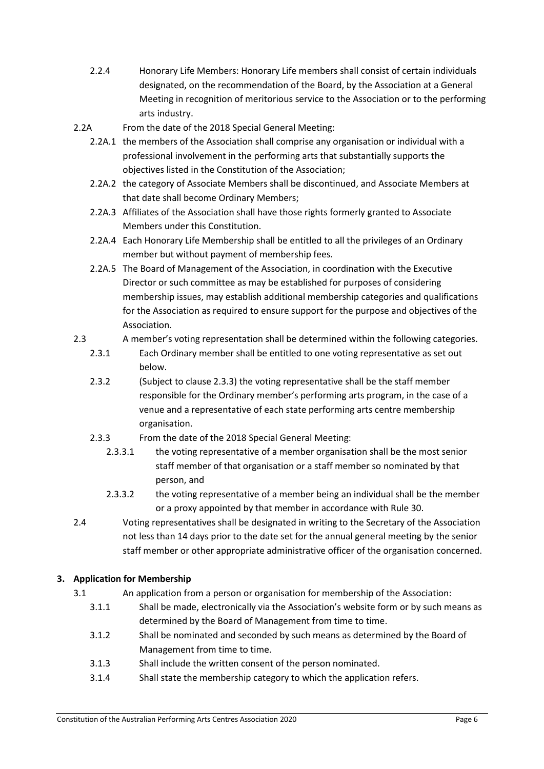- 2.2.4 Honorary Life Members: Honorary Life members shall consist of certain individuals designated, on the recommendation of the Board, by the Association at a General Meeting in recognition of meritorious service to the Association or to the performing arts industry.
- 2.2A From the date of the 2018 Special General Meeting:
	- 2.2A.1 the members of the Association shall comprise any organisation or individual with a professional involvement in the performing arts that substantially supports the objectives listed in the Constitution of the Association;
	- 2.2A.2 the category of Associate Members shall be discontinued, and Associate Members at that date shall become Ordinary Members;
	- 2.2A.3 Affiliates of the Association shall have those rights formerly granted to Associate Members under this Constitution.
	- 2.2A.4 Each Honorary Life Membership shall be entitled to all the privileges of an Ordinary member but without payment of membership fees*.*
	- 2.2A.5 The Board of Management of the Association, in coordination with the Executive Director or such committee as may be established for purposes of considering membership issues, may establish additional membership categories and qualifications for the Association as required to ensure support for the purpose and objectives of the Association.
- 2.3 A member's voting representation shall be determined within the following categories.
	- 2.3.1 Each Ordinary member shall be entitled to one voting representative as set out below.
	- 2.3.2 (Subject to clause 2.3.3) the voting representative shall be the staff member responsible for the Ordinary member's performing arts program, in the case of a venue and a representative of each state performing arts centre membership organisation.
	- 2.3.3 From the date of the 2018 Special General Meeting:
		- 2.3.3.1 the voting representative of a member organisation shall be the most senior staff member of that organisation or a staff member so nominated by that person, and
		- 2.3.3.2 the voting representative of a member being an individual shall be the member or a proxy appointed by that member in accordance with Rule 30.
- 2.4 Voting representatives shall be designated in writing to the Secretary of the Association not less than 14 days prior to the date set for the annual general meeting by the senior staff member or other appropriate administrative officer of the organisation concerned.

## <span id="page-6-0"></span>**3. Application for Membership**

- 3.1 An application from a person or organisation for membership of the Association:
	- 3.1.1 Shall be made, electronically via the Association's website form or by such means as determined by the Board of Management from time to time.
	- 3.1.2 Shall be nominated and seconded by such means as determined by the Board of Management from time to time.
	- 3.1.3 Shall include the written consent of the person nominated.
	- 3.1.4 Shall state the membership category to which the application refers.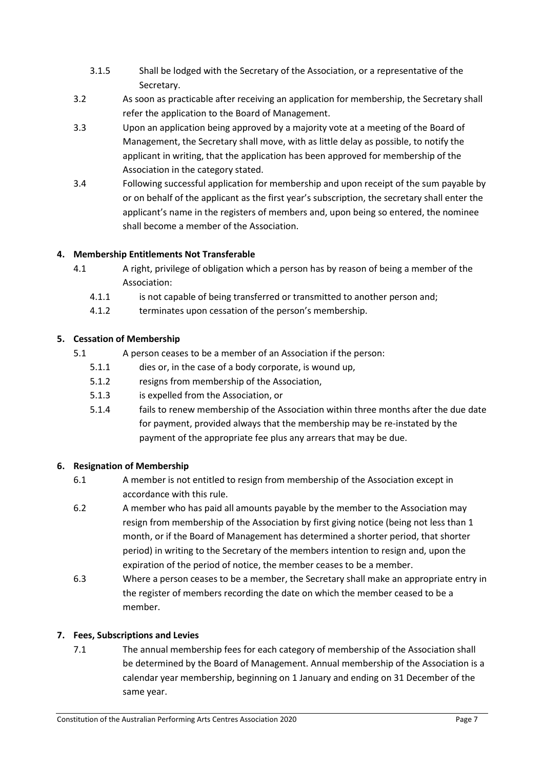- 3.1.5 Shall be lodged with the Secretary of the Association, or a representative of the Secretary.
- 3.2 As soon as practicable after receiving an application for membership, the Secretary shall refer the application to the Board of Management.
- 3.3 Upon an application being approved by a majority vote at a meeting of the Board of Management, the Secretary shall move, with as little delay as possible, to notify the applicant in writing, that the application has been approved for membership of the Association in the category stated.
- 3.4 Following successful application for membership and upon receipt of the sum payable by or on behalf of the applicant as the first year's subscription, the secretary shall enter the applicant's name in the registers of members and, upon being so entered, the nominee shall become a member of the Association.

## <span id="page-7-0"></span>**4. Membership Entitlements Not Transferable**

- 4.1 A right, privilege of obligation which a person has by reason of being a member of the Association:
	- 4.1.1 is not capable of being transferred or transmitted to another person and;
	- 4.1.2 terminates upon cessation of the person's membership.

## <span id="page-7-1"></span>**5. Cessation of Membership**

- 5.1 A person ceases to be a member of an Association if the person:
	- 5.1.1 dies or, in the case of a body corporate, is wound up,
	- 5.1.2 resigns from membership of the Association,
	- 5.1.3 is expelled from the Association, or
	- 5.1.4 fails to renew membership of the Association within three months after the due date for payment, provided always that the membership may be re-instated by the payment of the appropriate fee plus any arrears that may be due.

### <span id="page-7-2"></span>**6. Resignation of Membership**

- 6.1 A member is not entitled to resign from membership of the Association except in accordance with this rule.
- 6.2 A member who has paid all amounts payable by the member to the Association may resign from membership of the Association by first giving notice (being not less than 1 month, or if the Board of Management has determined a shorter period, that shorter period) in writing to the Secretary of the members intention to resign and, upon the expiration of the period of notice, the member ceases to be a member.
- 6.3 Where a person ceases to be a member, the Secretary shall make an appropriate entry in the register of members recording the date on which the member ceased to be a member.

## <span id="page-7-3"></span>**7. Fees, Subscriptions and Levies**

7.1 The annual membership fees for each category of membership of the Association shall be determined by the Board of Management. Annual membership of the Association is a calendar year membership, beginning on 1 January and ending on 31 December of the same year.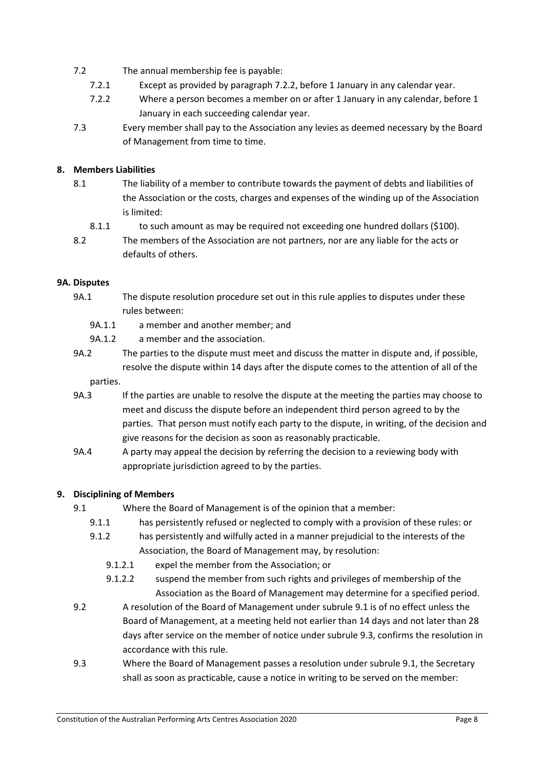- 7.2 The annual membership fee is payable:
	- 7.2.1 Except as provided by paragraph 7.2.2, before 1 January in any calendar year.
	- 7.2.2 Where a person becomes a member on or after 1 January in any calendar, before 1 January in each succeeding calendar year.
- 7.3 Every member shall pay to the Association any levies as deemed necessary by the Board of Management from time to time.

### <span id="page-8-0"></span>**8. Members Liabilities**

- 8.1 The liability of a member to contribute towards the payment of debts and liabilities of the Association or the costs, charges and expenses of the winding up of the Association is limited:
	- 8.1.1 to such amount as may be required not exceeding one hundred dollars (\$100).
- 8.2 The members of the Association are not partners, nor are any liable for the acts or defaults of others.

## <span id="page-8-1"></span>**9A. Disputes**

- 9A.1 The dispute resolution procedure set out in this rule applies to disputes under these rules between:
	- 9A.1.1 a member and another member; and
	- 9A.1.2 a member and the association.
- 9A.2 The parties to the dispute must meet and discuss the matter in dispute and, if possible, resolve the dispute within 14 days after the dispute comes to the attention of all of the

### parties.

- 9A.3 If the parties are unable to resolve the dispute at the meeting the parties may choose to meet and discuss the dispute before an independent third person agreed to by the parties. That person must notify each party to the dispute, in writing, of the decision and give reasons for the decision as soon as reasonably practicable.
- 9A.4 A party may appeal the decision by referring the decision to a reviewing body with appropriate jurisdiction agreed to by the parties.

### <span id="page-8-2"></span>**9. Disciplining of Members**

- 9.1 Where the Board of Management is of the opinion that a member:
	- 9.1.1 has persistently refused or neglected to comply with a provision of these rules: or
	- 9.1.2 has persistently and wilfully acted in a manner prejudicial to the interests of the Association, the Board of Management may, by resolution:
		- 9.1.2.1 expel the member from the Association; or
		- 9.1.2.2 suspend the member from such rights and privileges of membership of the Association as the Board of Management may determine for a specified period.
- 9.2 A resolution of the Board of Management under subrule 9.1 is of no effect unless the Board of Management, at a meeting held not earlier than 14 days and not later than 28 days after service on the member of notice under subrule 9.3, confirms the resolution in accordance with this rule.
- 9.3 Where the Board of Management passes a resolution under subrule 9.1, the Secretary shall as soon as practicable, cause a notice in writing to be served on the member: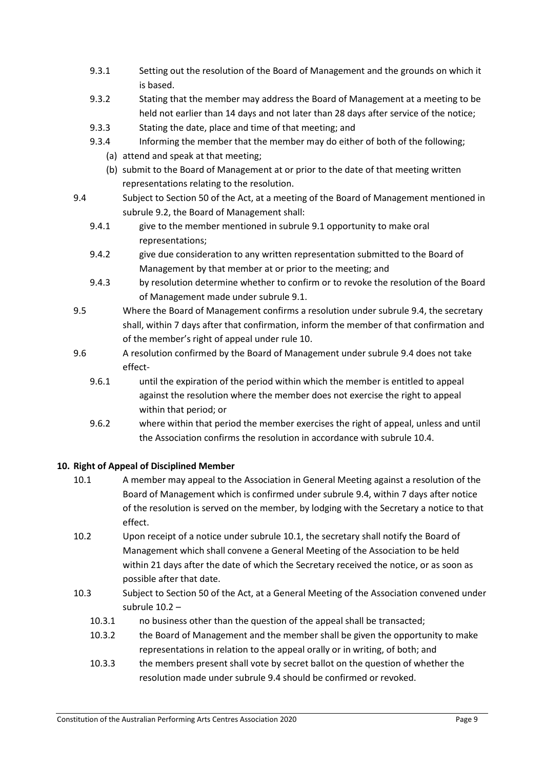- 9.3.1 Setting out the resolution of the Board of Management and the grounds on which it is based.
- 9.3.2 Stating that the member may address the Board of Management at a meeting to be held not earlier than 14 days and not later than 28 days after service of the notice;
- 9.3.3 Stating the date, place and time of that meeting; and
- 9.3.4 Informing the member that the member may do either of both of the following;
	- (a) attend and speak at that meeting;
	- (b) submit to the Board of Management at or prior to the date of that meeting written representations relating to the resolution.
- 9.4 Subject to Section 50 of the Act, at a meeting of the Board of Management mentioned in subrule 9.2, the Board of Management shall:
	- 9.4.1 give to the member mentioned in subrule 9.1 opportunity to make oral representations;
	- 9.4.2 give due consideration to any written representation submitted to the Board of Management by that member at or prior to the meeting; and
	- 9.4.3 by resolution determine whether to confirm or to revoke the resolution of the Board of Management made under subrule 9.1.
- 9.5 Where the Board of Management confirms a resolution under subrule 9.4, the secretary shall, within 7 days after that confirmation, inform the member of that confirmation and of the member's right of appeal under rule 10.
- 9.6 A resolution confirmed by the Board of Management under subrule 9.4 does not take effect-
	- 9.6.1 until the expiration of the period within which the member is entitled to appeal against the resolution where the member does not exercise the right to appeal within that period; or
	- 9.6.2 where within that period the member exercises the right of appeal, unless and until the Association confirms the resolution in accordance with subrule 10.4.

### <span id="page-9-0"></span>**10. Right of Appeal of Disciplined Member**

- 10.1 A member may appeal to the Association in General Meeting against a resolution of the Board of Management which is confirmed under subrule 9.4, within 7 days after notice of the resolution is served on the member, by lodging with the Secretary a notice to that effect.
- 10.2 Upon receipt of a notice under subrule 10.1, the secretary shall notify the Board of Management which shall convene a General Meeting of the Association to be held within 21 days after the date of which the Secretary received the notice, or as soon as possible after that date.
- 10.3 Subject to Section 50 of the Act, at a General Meeting of the Association convened under subrule 10.2 –
	- 10.3.1 no business other than the question of the appeal shall be transacted;
	- 10.3.2 the Board of Management and the member shall be given the opportunity to make representations in relation to the appeal orally or in writing, of both; and
	- 10.3.3 the members present shall vote by secret ballot on the question of whether the resolution made under subrule 9.4 should be confirmed or revoked.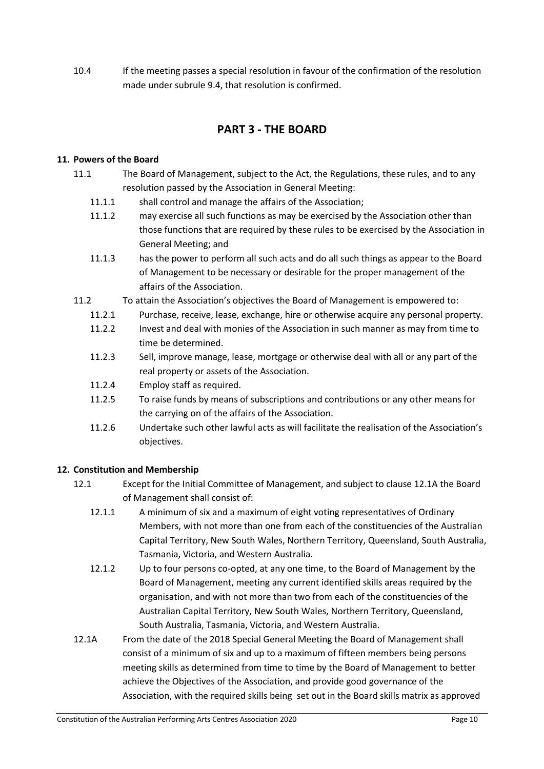10.4 If the meeting passes a special resolution in favour of the confirmation of the resolution made under subrule 9.4, that resolution is confirmed.

# **PART 3 - THE BOARD**

#### <span id="page-10-1"></span><span id="page-10-0"></span>**11. Powers of the Board**

- 11.1 The Board of Management, subject to the Act, the Regulations, these rules, and to any resolution passed by the Association in General Meeting:
	- 11.1.1 shall control and manage the affairs of the Association;
	- 11.1.2 may exercise all such functions as may be exercised by the Association other than those functions that are required by these rules to be exercised by the Association in General Meeting; and
	- 11.1.3 has the power to perform all such acts and do all such things as appear to the Board of Management to be necessary or desirable for the proper management of the affairs of the Association.
- 11.2 To attain the Association's objectives the Board of Management is empowered to:
	- 11.2.1 Purchase, receive, lease, exchange, hire or otherwise acquire any personal property.
	- 11.2.2 Invest and deal with monies of the Association in such manner as may from time to time be determined.
	- 11.2.3 Sell, improve manage, lease, mortgage or otherwise deal with all or any part of the real property or assets of the Association.
	- 11.2.4 Employ staff as required.
	- 11.2.5 To raise funds by means of subscriptions and contributions or any other means for the carrying on of the affairs of the Association.
	- 11.2.6 Undertake such other lawful acts as will facilitate the realisation of the Association's objectives.

### <span id="page-10-2"></span>**12. Constitution and Membership**

- 12.1 Except for the Initial Committee of Management, and subject to clause 12.1A the Board of Management shall consist of:
	- 12.1.1 A minimum of six and a maximum of eight voting representatives of Ordinary Members, with not more than one from each of the constituencies of the Australian Capital Territory, New South Wales, Northern Territory, Queensland, South Australia, Tasmania, Victoria, and Western Australia.
	- 12.1.2 Up to four persons co-opted, at any one time, to the Board of Management by the Board of Management, meeting any current identified skills areas required by the organisation, and with not more than two from each of the constituencies of the Australian Capital Territory, New South Wales, Northern Territory, Queensland, South Australia, Tasmania, Victoria, and Western Australia.
- 12.1A From the date of the 2018 Special General Meeting the Board of Management shall consist of a minimum of six and up to a maximum of fifteen members being persons meeting skills as determined from time to time by the Board of Management to better achieve the Objectives of the Association, and provide good governance of the Association, with the required skills being set out in the Board skills matrix as approved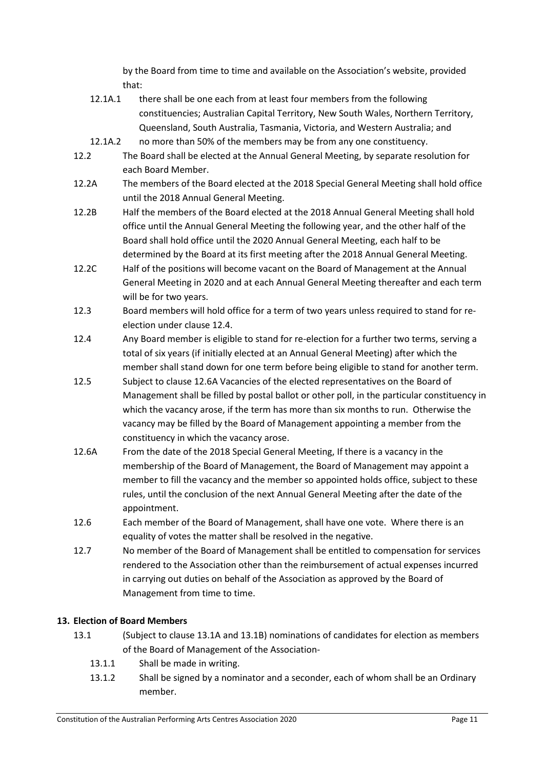by the Board from time to time and available on the Association's website, provided that:

- 12.1A.1 there shall be one each from at least four members from the following constituencies; Australian Capital Territory, New South Wales, Northern Territory, Queensland, South Australia, Tasmania, Victoria, and Western Australia; and
- 12.1A.2 no more than 50% of the members may be from any one constituency.
- 12.2 The Board shall be elected at the Annual General Meeting, by separate resolution for each Board Member.
- 12.2A The members of the Board elected at the 2018 Special General Meeting shall hold office until the 2018 Annual General Meeting.
- 12.2B Half the members of the Board elected at the 2018 Annual General Meeting shall hold office until the Annual General Meeting the following year, and the other half of the Board shall hold office until the 2020 Annual General Meeting, each half to be determined by the Board at its first meeting after the 2018 Annual General Meeting.
- 12.2C Half of the positions will become vacant on the Board of Management at the Annual General Meeting in 2020 and at each Annual General Meeting thereafter and each term will be for two years.
- 12.3 Board members will hold office for a term of two years unless required to stand for reelection under clause 12.4.
- 12.4 Any Board member is eligible to stand for re-election for a further two terms, serving a total of six years (if initially elected at an Annual General Meeting) after which the member shall stand down for one term before being eligible to stand for another term.
- 12.5 Subject to clause 12.6A Vacancies of the elected representatives on the Board of Management shall be filled by postal ballot or other poll, in the particular constituency in which the vacancy arose, if the term has more than six months to run. Otherwise the vacancy may be filled by the Board of Management appointing a member from the constituency in which the vacancy arose.
- 12.6A From the date of the 2018 Special General Meeting, If there is a vacancy in the membership of the Board of Management, the Board of Management may appoint a member to fill the vacancy and the member so appointed holds office, subject to these rules, until the conclusion of the next Annual General Meeting after the date of the appointment.
- 12.6 Each member of the Board of Management, shall have one vote. Where there is an equality of votes the matter shall be resolved in the negative.
- 12.7 No member of the Board of Management shall be entitled to compensation for services rendered to the Association other than the reimbursement of actual expenses incurred in carrying out duties on behalf of the Association as approved by the Board of Management from time to time.

## <span id="page-11-0"></span>**13. Election of Board Members**

- 13.1 (Subject to clause 13.1A and 13.1B) nominations of candidates for election as members of the Board of Management of the Association-
	- 13.1.1 Shall be made in writing.
	- 13.1.2 Shall be signed by a nominator and a seconder, each of whom shall be an Ordinary member.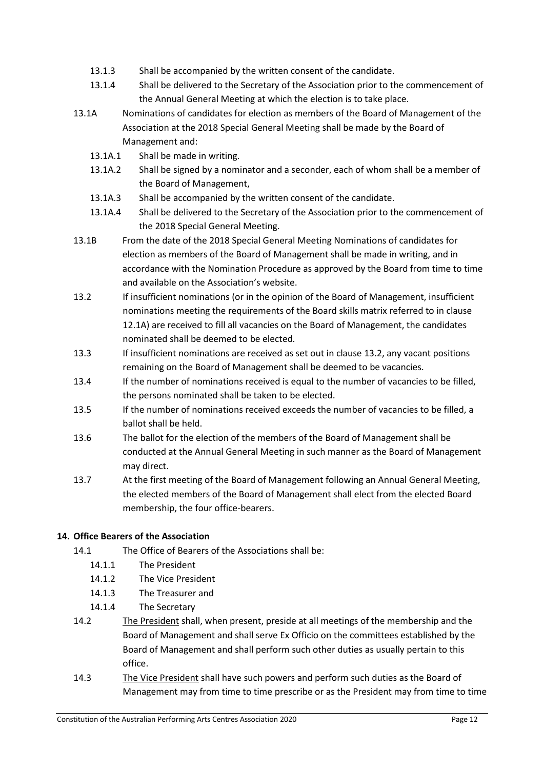- 13.1.3 Shall be accompanied by the written consent of the candidate.
- 13.1.4 Shall be delivered to the Secretary of the Association prior to the commencement of the Annual General Meeting at which the election is to take place.
- 13.1A Nominations of candidates for election as members of the Board of Management of the Association at the 2018 Special General Meeting shall be made by the Board of Management and:
	- 13.1A.1 Shall be made in writing.
	- 13.1A.2 Shall be signed by a nominator and a seconder, each of whom shall be a member of the Board of Management,
	- 13.1A.3 Shall be accompanied by the written consent of the candidate.
	- 13.1A.4 Shall be delivered to the Secretary of the Association prior to the commencement of the 2018 Special General Meeting.
- 13.1B From the date of the 2018 Special General Meeting Nominations of candidates for election as members of the Board of Management shall be made in writing, and in accordance with the Nomination Procedure as approved by the Board from time to time and available on the Association's website.
- 13.2 If insufficient nominations (or in the opinion of the Board of Management, insufficient nominations meeting the requirements of the Board skills matrix referred to in clause 12.1A) are received to fill all vacancies on the Board of Management, the candidates nominated shall be deemed to be elected*.*
- 13.3 If insufficient nominations are received as set out in clause 13.2, any vacant positions remaining on the Board of Management shall be deemed to be vacancies.
- 13.4 If the number of nominations received is equal to the number of vacancies to be filled, the persons nominated shall be taken to be elected.
- 13.5 If the number of nominations received exceeds the number of vacancies to be filled, a ballot shall be held.
- 13.6 The ballot for the election of the members of the Board of Management shall be conducted at the Annual General Meeting in such manner as the Board of Management may direct.
- 13.7 At the first meeting of the Board of Management following an Annual General Meeting, the elected members of the Board of Management shall elect from the elected Board membership, the four office-bearers.

## <span id="page-12-0"></span>**14. Office Bearers of the Association**

- 14.1 The Office of Bearers of the Associations shall be:
	- 14.1.1 The President
	- 14.1.2 The Vice President
	- 14.1.3 The Treasurer and
	- 14.1.4 The Secretary
- 14.2 The President shall, when present, preside at all meetings of the membership and the Board of Management and shall serve Ex Officio on the committees established by the Board of Management and shall perform such other duties as usually pertain to this office.
- 14.3 The Vice President shall have such powers and perform such duties as the Board of Management may from time to time prescribe or as the President may from time to time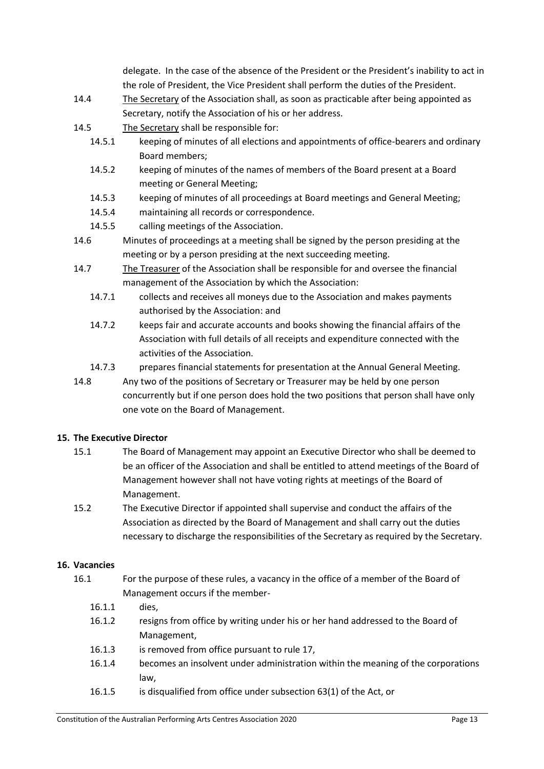delegate. In the case of the absence of the President or the President's inability to act in the role of President, the Vice President shall perform the duties of the President.

- 14.4 The Secretary of the Association shall, as soon as practicable after being appointed as Secretary, notify the Association of his or her address.
- 14.5 The Secretary shall be responsible for:
	- 14.5.1 keeping of minutes of all elections and appointments of office-bearers and ordinary Board members;
	- 14.5.2 keeping of minutes of the names of members of the Board present at a Board meeting or General Meeting;
	- 14.5.3 keeping of minutes of all proceedings at Board meetings and General Meeting;
	- 14.5.4 maintaining all records or correspondence.
	- 14.5.5 calling meetings of the Association.
- 14.6 Minutes of proceedings at a meeting shall be signed by the person presiding at the meeting or by a person presiding at the next succeeding meeting.
- 14.7 The Treasurer of the Association shall be responsible for and oversee the financial management of the Association by which the Association:
	- 14.7.1 collects and receives all moneys due to the Association and makes payments authorised by the Association: and
	- 14.7.2 keeps fair and accurate accounts and books showing the financial affairs of the Association with full details of all receipts and expenditure connected with the activities of the Association.
	- 14.7.3 prepares financial statements for presentation at the Annual General Meeting.
- 14.8 Any two of the positions of Secretary or Treasurer may be held by one person concurrently but if one person does hold the two positions that person shall have only one vote on the Board of Management.

### <span id="page-13-0"></span>**15. The Executive Director**

- 15.1 The Board of Management may appoint an Executive Director who shall be deemed to be an officer of the Association and shall be entitled to attend meetings of the Board of Management however shall not have voting rights at meetings of the Board of Management.
- 15.2 The Executive Director if appointed shall supervise and conduct the affairs of the Association as directed by the Board of Management and shall carry out the duties necessary to discharge the responsibilities of the Secretary as required by the Secretary.

### <span id="page-13-1"></span>**16. Vacancies**

- 16.1 For the purpose of these rules, a vacancy in the office of a member of the Board of Management occurs if the member-
	- 16.1.1 dies,
	- 16.1.2 resigns from office by writing under his or her hand addressed to the Board of Management,
	- 16.1.3 is removed from office pursuant to rule 17,
	- 16.1.4 becomes an insolvent under administration within the meaning of the corporations law,
	- 16.1.5 is disqualified from office under subsection 63(1) of the Act, or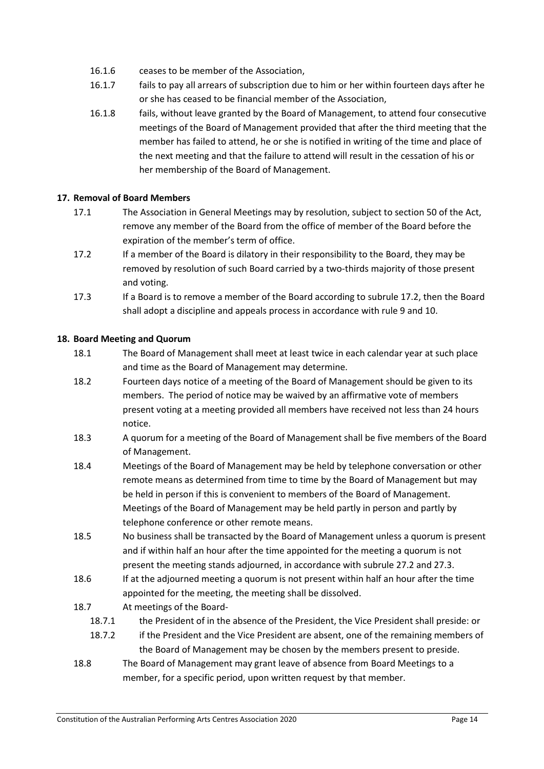- 16.1.6 ceases to be member of the Association,
- 16.1.7 fails to pay all arrears of subscription due to him or her within fourteen days after he or she has ceased to be financial member of the Association,
- 16.1.8 fails, without leave granted by the Board of Management, to attend four consecutive meetings of the Board of Management provided that after the third meeting that the member has failed to attend, he or she is notified in writing of the time and place of the next meeting and that the failure to attend will result in the cessation of his or her membership of the Board of Management.

### <span id="page-14-0"></span>**17. Removal of Board Members**

- 17.1 The Association in General Meetings may by resolution, subject to section 50 of the Act, remove any member of the Board from the office of member of the Board before the expiration of the member's term of office.
- 17.2 If a member of the Board is dilatory in their responsibility to the Board, they may be removed by resolution of such Board carried by a two-thirds majority of those present and voting.
- 17.3 If a Board is to remove a member of the Board according to subrule 17.2, then the Board shall adopt a discipline and appeals process in accordance with rule 9 and 10.

#### <span id="page-14-1"></span>**18. Board Meeting and Quorum**

- 18.1 The Board of Management shall meet at least twice in each calendar year at such place and time as the Board of Management may determine.
- 18.2 Fourteen days notice of a meeting of the Board of Management should be given to its members. The period of notice may be waived by an affirmative vote of members present voting at a meeting provided all members have received not less than 24 hours notice.
- 18.3 A quorum for a meeting of the Board of Management shall be five members of the Board of Management.
- 18.4 Meetings of the Board of Management may be held by telephone conversation or other remote means as determined from time to time by the Board of Management but may be held in person if this is convenient to members of the Board of Management. Meetings of the Board of Management may be held partly in person and partly by telephone conference or other remote means.
- 18.5 No business shall be transacted by the Board of Management unless a quorum is present and if within half an hour after the time appointed for the meeting a quorum is not present the meeting stands adjourned, in accordance with subrule 27.2 and 27.3.
- 18.6 If at the adjourned meeting a quorum is not present within half an hour after the time appointed for the meeting, the meeting shall be dissolved.

### 18.7 At meetings of the Board-

- 18.7.1 the President of in the absence of the President, the Vice President shall preside: or
- 18.7.2 if the President and the Vice President are absent, one of the remaining members of the Board of Management may be chosen by the members present to preside.
- 18.8 The Board of Management may grant leave of absence from Board Meetings to a member, for a specific period, upon written request by that member.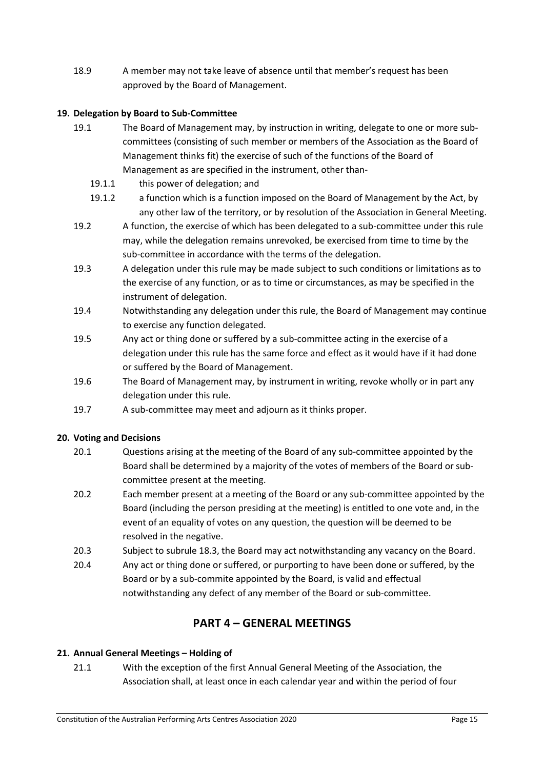18.9 A member may not take leave of absence until that member's request has been approved by the Board of Management.

### <span id="page-15-0"></span>**19. Delegation by Board to Sub-Committee**

- 19.1 The Board of Management may, by instruction in writing, delegate to one or more subcommittees (consisting of such member or members of the Association as the Board of Management thinks fit) the exercise of such of the functions of the Board of Management as are specified in the instrument, other than-
	- 19.1.1 this power of delegation; and
	- 19.1.2 a function which is a function imposed on the Board of Management by the Act, by any other law of the territory, or by resolution of the Association in General Meeting.
- 19.2 A function, the exercise of which has been delegated to a sub-committee under this rule may, while the delegation remains unrevoked, be exercised from time to time by the sub-committee in accordance with the terms of the delegation.
- 19.3 A delegation under this rule may be made subject to such conditions or limitations as to the exercise of any function, or as to time or circumstances, as may be specified in the instrument of delegation.
- 19.4 Notwithstanding any delegation under this rule, the Board of Management may continue to exercise any function delegated.
- 19.5 Any act or thing done or suffered by a sub-committee acting in the exercise of a delegation under this rule has the same force and effect as it would have if it had done or suffered by the Board of Management.
- 19.6 The Board of Management may, by instrument in writing, revoke wholly or in part any delegation under this rule.
- 19.7 A sub-committee may meet and adjourn as it thinks proper.

### <span id="page-15-1"></span>**20. Voting and Decisions**

- 20.1 Questions arising at the meeting of the Board of any sub-committee appointed by the Board shall be determined by a majority of the votes of members of the Board or subcommittee present at the meeting.
- 20.2 Each member present at a meeting of the Board or any sub-committee appointed by the Board (including the person presiding at the meeting) is entitled to one vote and, in the event of an equality of votes on any question, the question will be deemed to be resolved in the negative.
- 20.3 Subject to subrule 18.3, the Board may act notwithstanding any vacancy on the Board.
- 20.4 Any act or thing done or suffered, or purporting to have been done or suffered, by the Board or by a sub-commite appointed by the Board, is valid and effectual notwithstanding any defect of any member of the Board or sub-committee.

# **PART 4 – GENERAL MEETINGS**

### <span id="page-15-3"></span><span id="page-15-2"></span>**21. Annual General Meetings – Holding of**

21.1 With the exception of the first Annual General Meeting of the Association, the Association shall, at least once in each calendar year and within the period of four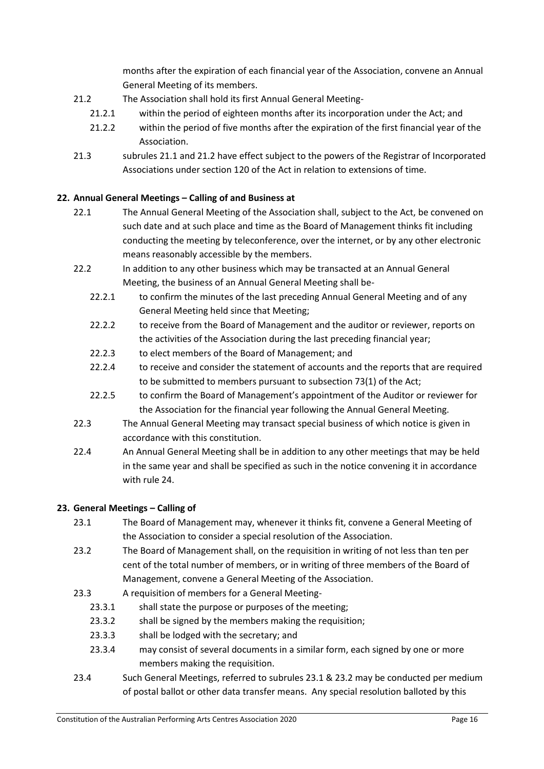months after the expiration of each financial year of the Association, convene an Annual General Meeting of its members.

- 21.2 The Association shall hold its first Annual General Meeting-
	- 21.2.1 within the period of eighteen months after its incorporation under the Act; and
	- 21.2.2 within the period of five months after the expiration of the first financial year of the Association.
- 21.3 subrules 21.1 and 21.2 have effect subject to the powers of the Registrar of Incorporated Associations under section 120 of the Act in relation to extensions of time.

## <span id="page-16-0"></span>**22. Annual General Meetings – Calling of and Business at**

- 22.1 The Annual General Meeting of the Association shall, subject to the Act, be convened on such date and at such place and time as the Board of Management thinks fit including conducting the meeting by teleconference, over the internet, or by any other electronic means reasonably accessible by the members.
- 22.2 In addition to any other business which may be transacted at an Annual General Meeting, the business of an Annual General Meeting shall be-
	- 22.2.1 to confirm the minutes of the last preceding Annual General Meeting and of any General Meeting held since that Meeting;
	- 22.2.2 to receive from the Board of Management and the auditor or reviewer, reports on the activities of the Association during the last preceding financial year;
	- 22.2.3 to elect members of the Board of Management; and
	- 22.2.4 to receive and consider the statement of accounts and the reports that are required to be submitted to members pursuant to subsection 73(1) of the Act;
	- 22.2.5 to confirm the Board of Management's appointment of the Auditor or reviewer for the Association for the financial year following the Annual General Meeting.
- 22.3 The Annual General Meeting may transact special business of which notice is given in accordance with this constitution.
- 22.4 An Annual General Meeting shall be in addition to any other meetings that may be held in the same year and shall be specified as such in the notice convening it in accordance with rule 24.

### <span id="page-16-1"></span>**23. General Meetings – Calling of**

- 23.1 The Board of Management may, whenever it thinks fit, convene a General Meeting of the Association to consider a special resolution of the Association.
- 23.2 The Board of Management shall, on the requisition in writing of not less than ten per cent of the total number of members, or in writing of three members of the Board of Management, convene a General Meeting of the Association.
- 23.3 A requisition of members for a General Meeting-
	- 23.3.1 shall state the purpose or purposes of the meeting:
	- 23.3.2 shall be signed by the members making the requisition;
	- 23.3.3 shall be lodged with the secretary; and
	- 23.3.4 may consist of several documents in a similar form, each signed by one or more members making the requisition.
- 23.4 Such General Meetings, referred to subrules 23.1 & 23.2 may be conducted per medium of postal ballot or other data transfer means. Any special resolution balloted by this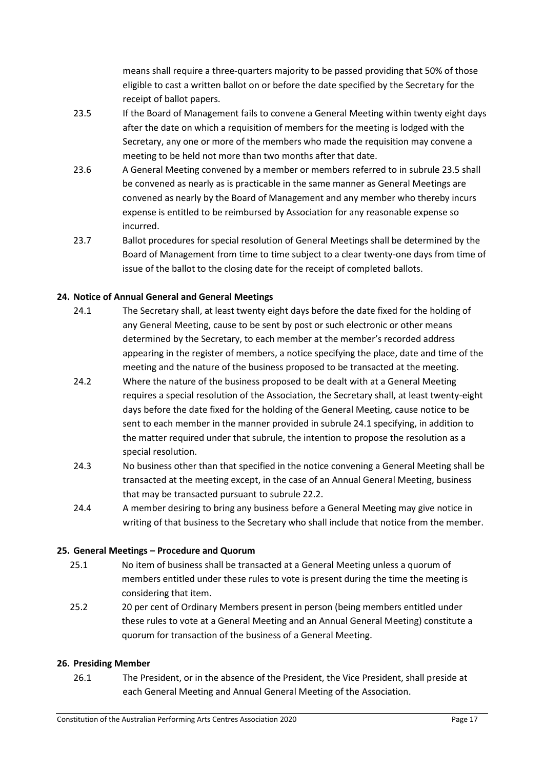means shall require a three-quarters majority to be passed providing that 50% of those eligible to cast a written ballot on or before the date specified by the Secretary for the receipt of ballot papers.

- 23.5 If the Board of Management fails to convene a General Meeting within twenty eight days after the date on which a requisition of members for the meeting is lodged with the Secretary, any one or more of the members who made the requisition may convene a meeting to be held not more than two months after that date.
- 23.6 A General Meeting convened by a member or members referred to in subrule 23.5 shall be convened as nearly as is practicable in the same manner as General Meetings are convened as nearly by the Board of Management and any member who thereby incurs expense is entitled to be reimbursed by Association for any reasonable expense so incurred.
- 23.7 Ballot procedures for special resolution of General Meetings shall be determined by the Board of Management from time to time subject to a clear twenty-one days from time of issue of the ballot to the closing date for the receipt of completed ballots.

## <span id="page-17-0"></span>**24. Notice of Annual General and General Meetings**

- 24.1 The Secretary shall, at least twenty eight days before the date fixed for the holding of any General Meeting, cause to be sent by post or such electronic or other means determined by the Secretary, to each member at the member's recorded address appearing in the register of members, a notice specifying the place, date and time of the meeting and the nature of the business proposed to be transacted at the meeting.
- 24.2 Where the nature of the business proposed to be dealt with at a General Meeting requires a special resolution of the Association, the Secretary shall, at least twenty-eight days before the date fixed for the holding of the General Meeting, cause notice to be sent to each member in the manner provided in subrule 24.1 specifying, in addition to the matter required under that subrule, the intention to propose the resolution as a special resolution.
- 24.3 No business other than that specified in the notice convening a General Meeting shall be transacted at the meeting except, in the case of an Annual General Meeting, business that may be transacted pursuant to subrule 22.2.
- 24.4 A member desiring to bring any business before a General Meeting may give notice in writing of that business to the Secretary who shall include that notice from the member.

### <span id="page-17-1"></span>**25. General Meetings – Procedure and Quorum**

- 25.1 No item of business shall be transacted at a General Meeting unless a quorum of members entitled under these rules to vote is present during the time the meeting is considering that item.
- 25.2 20 per cent of Ordinary Members present in person (being members entitled under these rules to vote at a General Meeting and an Annual General Meeting) constitute a quorum for transaction of the business of a General Meeting.

### <span id="page-17-2"></span>**26. Presiding Member**

26.1 The President, or in the absence of the President, the Vice President, shall preside at each General Meeting and Annual General Meeting of the Association.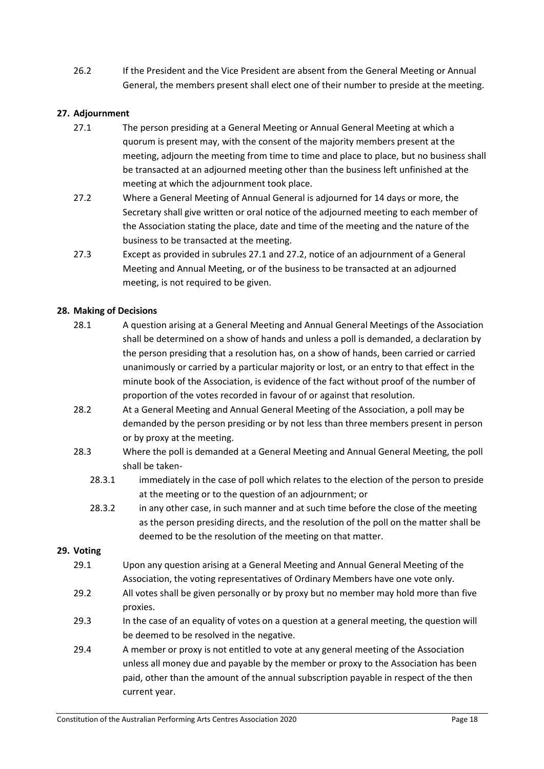26.2 If the President and the Vice President are absent from the General Meeting or Annual General, the members present shall elect one of their number to preside at the meeting.

#### <span id="page-18-0"></span>**27. Adjournment**

- 27.1 The person presiding at a General Meeting or Annual General Meeting at which a quorum is present may, with the consent of the majority members present at the meeting, adjourn the meeting from time to time and place to place, but no business shall be transacted at an adjourned meeting other than the business left unfinished at the meeting at which the adjournment took place.
- 27.2 Where a General Meeting of Annual General is adjourned for 14 days or more, the Secretary shall give written or oral notice of the adjourned meeting to each member of the Association stating the place, date and time of the meeting and the nature of the business to be transacted at the meeting.
- 27.3 Except as provided in subrules 27.1 and 27.2, notice of an adjournment of a General Meeting and Annual Meeting, or of the business to be transacted at an adjourned meeting, is not required to be given.

#### <span id="page-18-1"></span>**28. Making of Decisions**

- 28.1 A question arising at a General Meeting and Annual General Meetings of the Association shall be determined on a show of hands and unless a poll is demanded, a declaration by the person presiding that a resolution has, on a show of hands, been carried or carried unanimously or carried by a particular majority or lost, or an entry to that effect in the minute book of the Association, is evidence of the fact without proof of the number of proportion of the votes recorded in favour of or against that resolution.
- 28.2 At a General Meeting and Annual General Meeting of the Association, a poll may be demanded by the person presiding or by not less than three members present in person or by proxy at the meeting.
- 28.3 Where the poll is demanded at a General Meeting and Annual General Meeting, the poll shall be taken-
	- 28.3.1 immediately in the case of poll which relates to the election of the person to preside at the meeting or to the question of an adjournment; or
	- 28.3.2 in any other case, in such manner and at such time before the close of the meeting as the person presiding directs, and the resolution of the poll on the matter shall be deemed to be the resolution of the meeting on that matter.

#### <span id="page-18-2"></span>**29. Voting**

- 29.1 Upon any question arising at a General Meeting and Annual General Meeting of the Association, the voting representatives of Ordinary Members have one vote only.
- 29.2 All votes shall be given personally or by proxy but no member may hold more than five proxies.
- 29.3 In the case of an equality of votes on a question at a general meeting, the question will be deemed to be resolved in the negative.
- 29.4 A member or proxy is not entitled to vote at any general meeting of the Association unless all money due and payable by the member or proxy to the Association has been paid, other than the amount of the annual subscription payable in respect of the then current year.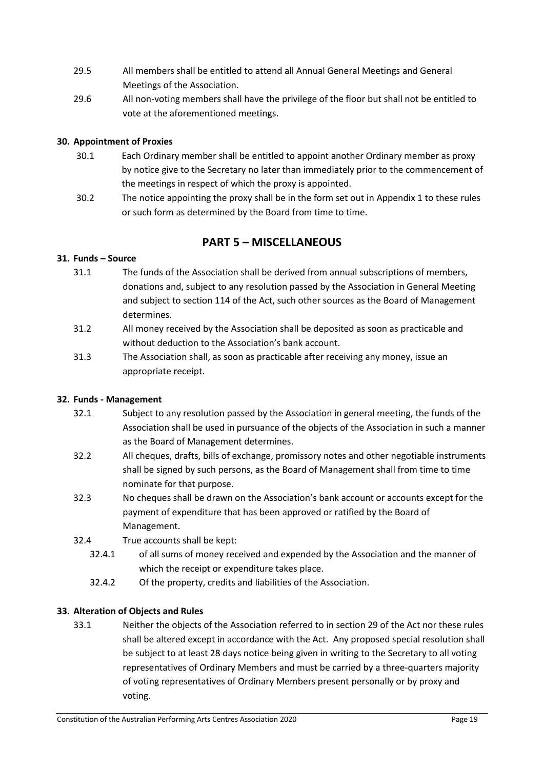- 29.5 All members shall be entitled to attend all Annual General Meetings and General Meetings of the Association.
- 29.6 All non-voting members shall have the privilege of the floor but shall not be entitled to vote at the aforementioned meetings.

### <span id="page-19-0"></span>**30. Appointment of Proxies**

- 30.1 Each Ordinary member shall be entitled to appoint another Ordinary member as proxy by notice give to the Secretary no later than immediately prior to the commencement of the meetings in respect of which the proxy is appointed.
- 30.2 The notice appointing the proxy shall be in the form set out in Appendix 1 to these rules or such form as determined by the Board from time to time.

# **PART 5 – MISCELLANEOUS**

### <span id="page-19-2"></span><span id="page-19-1"></span>**31. Funds – Source**

- 31.1 The funds of the Association shall be derived from annual subscriptions of members, donations and, subject to any resolution passed by the Association in General Meeting and subject to section 114 of the Act, such other sources as the Board of Management determines.
- 31.2 All money received by the Association shall be deposited as soon as practicable and without deduction to the Association's bank account.
- 31.3 The Association shall, as soon as practicable after receiving any money, issue an appropriate receipt.

### <span id="page-19-3"></span>**32. Funds - Management**

- 32.1 Subject to any resolution passed by the Association in general meeting, the funds of the Association shall be used in pursuance of the objects of the Association in such a manner as the Board of Management determines.
- 32.2 All cheques, drafts, bills of exchange, promissory notes and other negotiable instruments shall be signed by such persons, as the Board of Management shall from time to time nominate for that purpose.
- 32.3 No cheques shall be drawn on the Association's bank account or accounts except for the payment of expenditure that has been approved or ratified by the Board of Management.
- 32.4 True accounts shall be kept:
	- 32.4.1 of all sums of money received and expended by the Association and the manner of which the receipt or expenditure takes place.
	- 32.4.2 Of the property, credits and liabilities of the Association.

### <span id="page-19-4"></span>**33. Alteration of Objects and Rules**

33.1 Neither the objects of the Association referred to in section 29 of the Act nor these rules shall be altered except in accordance with the Act. Any proposed special resolution shall be subject to at least 28 days notice being given in writing to the Secretary to all voting representatives of Ordinary Members and must be carried by a three-quarters majority of voting representatives of Ordinary Members present personally or by proxy and voting.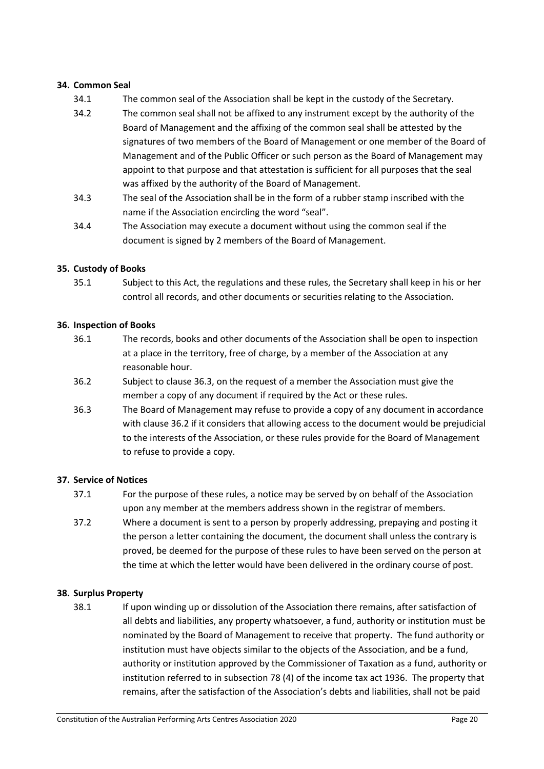#### <span id="page-20-0"></span>**34. Common Seal**

- 34.1 The common seal of the Association shall be kept in the custody of the Secretary.
- 34.2 The common seal shall not be affixed to any instrument except by the authority of the Board of Management and the affixing of the common seal shall be attested by the signatures of two members of the Board of Management or one member of the Board of Management and of the Public Officer or such person as the Board of Management may appoint to that purpose and that attestation is sufficient for all purposes that the seal was affixed by the authority of the Board of Management.
- 34.3 The seal of the Association shall be in the form of a rubber stamp inscribed with the name if the Association encircling the word "seal".
- 34.4 The Association may execute a document without using the common seal if the document is signed by 2 members of the Board of Management.

#### <span id="page-20-1"></span>**35. Custody of Books**

35.1 Subject to this Act, the regulations and these rules, the Secretary shall keep in his or her control all records, and other documents or securities relating to the Association.

#### <span id="page-20-2"></span>**36. Inspection of Books**

- 36.1 The records, books and other documents of the Association shall be open to inspection at a place in the territory, free of charge, by a member of the Association at any reasonable hour.
- 36.2 Subject to clause 36.3, on the request of a member the Association must give the member a copy of any document if required by the Act or these rules.
- 36.3 The Board of Management may refuse to provide a copy of any document in accordance with clause 36.2 if it considers that allowing access to the document would be prejudicial to the interests of the Association, or these rules provide for the Board of Management to refuse to provide a copy.

#### <span id="page-20-3"></span>**37. Service of Notices**

- 37.1 For the purpose of these rules, a notice may be served by on behalf of the Association upon any member at the members address shown in the registrar of members.
- 37.2 Where a document is sent to a person by properly addressing, prepaying and posting it the person a letter containing the document, the document shall unless the contrary is proved, be deemed for the purpose of these rules to have been served on the person at the time at which the letter would have been delivered in the ordinary course of post.

### <span id="page-20-4"></span>**38. Surplus Property**

38.1 If upon winding up or dissolution of the Association there remains, after satisfaction of all debts and liabilities, any property whatsoever, a fund, authority or institution must be nominated by the Board of Management to receive that property. The fund authority or institution must have objects similar to the objects of the Association, and be a fund, authority or institution approved by the Commissioner of Taxation as a fund, authority or institution referred to in subsection 78 (4) of the income tax act 1936. The property that remains, after the satisfaction of the Association's debts and liabilities, shall not be paid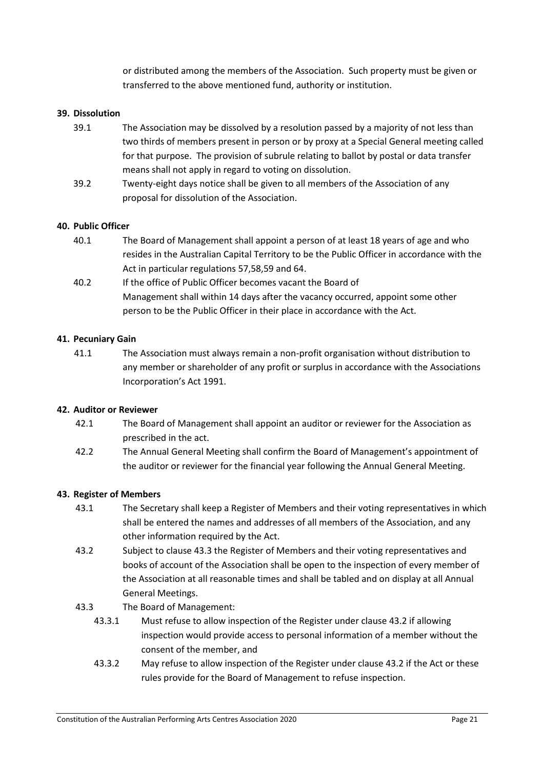or distributed among the members of the Association. Such property must be given or transferred to the above mentioned fund, authority or institution.

#### <span id="page-21-0"></span>**39. Dissolution**

- 39.1 The Association may be dissolved by a resolution passed by a majority of not less than two thirds of members present in person or by proxy at a Special General meeting called for that purpose. The provision of subrule relating to ballot by postal or data transfer means shall not apply in regard to voting on dissolution.
- 39.2 Twenty-eight days notice shall be given to all members of the Association of any proposal for dissolution of the Association.

#### <span id="page-21-1"></span>**40. Public Officer**

- 40.1 The Board of Management shall appoint a person of at least 18 years of age and who resides in the Australian Capital Territory to be the Public Officer in accordance with the Act in particular regulations 57,58,59 and 64.
- 40.2 If the office of Public Officer becomes vacant the Board of Management shall within 14 days after the vacancy occurred, appoint some other person to be the Public Officer in their place in accordance with the Act.

#### <span id="page-21-2"></span>**41. Pecuniary Gain**

41.1 The Association must always remain a non-profit organisation without distribution to any member or shareholder of any profit or surplus in accordance with the Associations Incorporation's Act 1991.

#### <span id="page-21-3"></span>**42. Auditor or Reviewer**

- 42.1 The Board of Management shall appoint an auditor or reviewer for the Association as prescribed in the act.
- 42.2 The Annual General Meeting shall confirm the Board of Management's appointment of the auditor or reviewer for the financial year following the Annual General Meeting.

#### <span id="page-21-4"></span>**43. Register of Members**

- 43.1 The Secretary shall keep a Register of Members and their voting representatives in which shall be entered the names and addresses of all members of the Association, and any other information required by the Act.
- 43.2 Subject to clause 43.3 the Register of Members and their voting representatives and books of account of the Association shall be open to the inspection of every member of the Association at all reasonable times and shall be tabled and on display at all Annual General Meetings.
- 43.3 The Board of Management:
	- 43.3.1 Must refuse to allow inspection of the Register under clause 43.2 if allowing inspection would provide access to personal information of a member without the consent of the member, and
	- 43.3.2 May refuse to allow inspection of the Register under clause 43.2 if the Act or these rules provide for the Board of Management to refuse inspection.